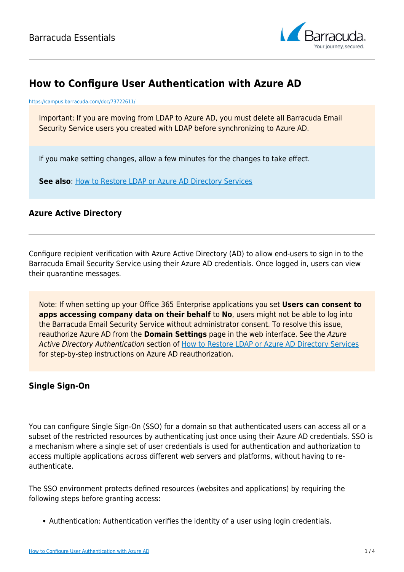

# **How to Configure User Authentication with Azure AD**

<https://campus.barracuda.com/doc/73722611/>

Important: If you are moving from LDAP to Azure AD, you must delete all Barracuda Email Security Service users you created with LDAP before synchronizing to Azure AD.

If you make setting changes, allow a few minutes for the changes to take effect.

**See also: [How to Restore LDAP or Azure AD Directory Services](http://campus.barracuda.com/doc/75695275/)** 

### **Azure Active Directory**

Configure recipient verification with Azure Active Directory (AD) to allow end-users to sign in to the Barracuda Email Security Service using their Azure AD credentials. Once logged in, users can view their quarantine messages.

Note: If when setting up your Office 365 Enterprise applications you set **Users can consent to apps accessing company data on their behalf** to **No**, users might not be able to log into the Barracuda Email Security Service without administrator consent. To resolve this issue, reauthorize Azure AD from the **Domain Settings** page in the web interface. See the Azure Active Directory Authentication section of [How to Restore LDAP or Azure AD Directory Services](http://campus.barracuda.com/doc/75695275/) for step-by-step instructions on Azure AD reauthorization.

### **Single Sign-On**

You can configure Single Sign-On (SSO) for a domain so that authenticated users can access all or a subset of the restricted resources by authenticating just once using their Azure AD credentials. SSO is a mechanism where a single set of user credentials is used for authentication and authorization to access multiple applications across different web servers and platforms, without having to reauthenticate.

The SSO environment protects defined resources (websites and applications) by requiring the following steps before granting access:

Authentication: Authentication verifies the identity of a user using login credentials.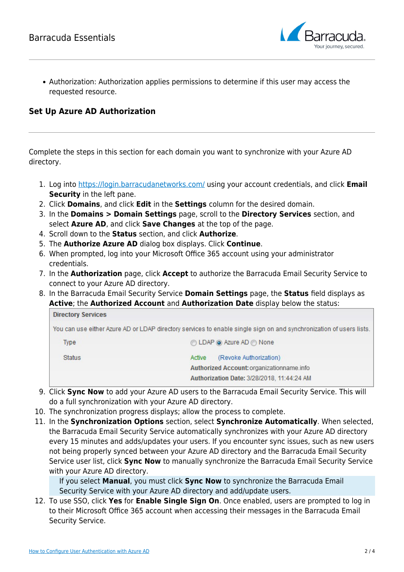

Authorization: Authorization applies permissions to determine if this user may access the requested resource.

## **Set Up Azure AD Authorization**

Complete the steps in this section for each domain you want to synchronize with your Azure AD directory.

- 1. Log into [https://login.barracudanetworks.com/](https://login.barracudanetworks.com/auth/login/) using your account credentials, and click **Email Security** in the left pane.
- 2. Click **Domains**, and click **Edit** in the **Settings** column for the desired domain.
- 3. In the **Domains > Domain Settings** page, scroll to the **Directory Services** section, and select **Azure AD**, and click **Save Changes** at the top of the page.
- 4. Scroll down to the **Status** section, and click **Authorize**.
- 5. The **Authorize Azure AD** dialog box displays. Click **Continue**.
- 6. When prompted, log into your Microsoft Office 365 account using your administrator credentials.
- 7. In the **Authorization** page, click **Accept** to authorize the Barracuda Email Security Service to connect to your Azure AD directory.
- 8. In the Barracuda Email Security Service **Domain Settings** page, the **Status** field displays as **Active**; the **Authorized Account** and **Authorization Date** display below the status:

| <b>Directory Services</b> |                                                                                                                     |
|---------------------------|---------------------------------------------------------------------------------------------------------------------|
|                           | You can use either Azure AD or LDAP directory services to enable single sign on and synchronization of users lists. |
| <b>Type</b>               | ◯ LDAP ⓒ Azure AD ⓒ None                                                                                            |
| <b>Status</b>             | (Revoke Authorization)<br>Active                                                                                    |
|                           | Authorized Account: organizationname.info                                                                           |
|                           | Authorization Date: 3/28/2018, 11:44:24 AM                                                                          |

- 9. Click **Sync Now** to add your Azure AD users to the Barracuda Email Security Service. This will do a full synchronization with your Azure AD directory.
- 10. The synchronization progress displays; allow the process to complete.
- 11. In the **Synchronization Options** section, select **Synchronize Automatically**. When selected, the Barracuda Email Security Service automatically synchronizes with your Azure AD directory every 15 minutes and adds/updates your users. If you encounter sync issues, such as new users not being properly synced between your Azure AD directory and the Barracuda Email Security Service user list, click **Sync Now** to manually synchronize the Barracuda Email Security Service with your Azure AD directory.

If you select **Manual**, you must click **Sync Now** to synchronize the Barracuda Email Security Service with your Azure AD directory and add/update users.

12. To use SSO, click **Yes** for **Enable Single Sign On**. Once enabled, users are prompted to log in to their Microsoft Office 365 account when accessing their messages in the Barracuda Email Security Service.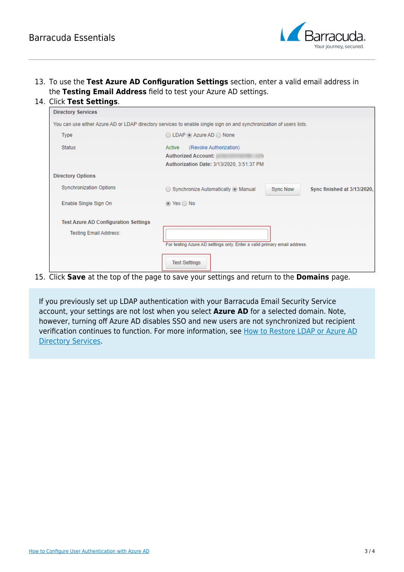

13. To use the **Test Azure AD Configuration Settings** section, enter a valid email address in the **Testing Email Address** field to test your Azure AD settings.

#### 14. Click **Test Settings**.

| <b>Directory Services</b>                                                                                           |                                                                                                             |
|---------------------------------------------------------------------------------------------------------------------|-------------------------------------------------------------------------------------------------------------|
| You can use either Azure AD or LDAP directory services to enable single sign on and synchronization of users lists. |                                                                                                             |
| <b>Type</b>                                                                                                         | $\bigcirc$ LDAP $\bigcirc$ Azure AD $\bigcirc$ None                                                         |
| <b>Status</b>                                                                                                       | (Revoke Authorization)<br>Active<br><b>Authorized Account:</b><br>Authorization Date: 3/13/2020, 3:51:37 PM |
| <b>Directory Options</b>                                                                                            |                                                                                                             |
| <b>Synchronization Options</b>                                                                                      | ◯ Synchronize Automatically ⓒ Manual<br><b>Sync Now</b><br>Sync finished at 3/13/2020,                      |
| Enable Single Sign On                                                                                               | $\circledcirc$ Yes $\circledcirc$ No                                                                        |
| <b>Test Azure AD Configuration Settings</b>                                                                         |                                                                                                             |
| <b>Testing Email Address:</b>                                                                                       |                                                                                                             |
|                                                                                                                     | For testing Azure AD settings only. Enter a valid primary email address.                                    |
|                                                                                                                     | <b>Test Settings</b>                                                                                        |

15. Click **Save** at the top of the page to save your settings and return to the **Domains** page.

If you previously set up LDAP authentication with your Barracuda Email Security Service account, your settings are not lost when you select **Azure AD** for a selected domain. Note, however, turning off Azure AD disables SSO and new users are not synchronized but recipient verification continues to function. For more information, see [How to Restore LDAP or Azure AD](http://campus.barracuda.com/doc/75695275/) [Directory Services](http://campus.barracuda.com/doc/75695275/).